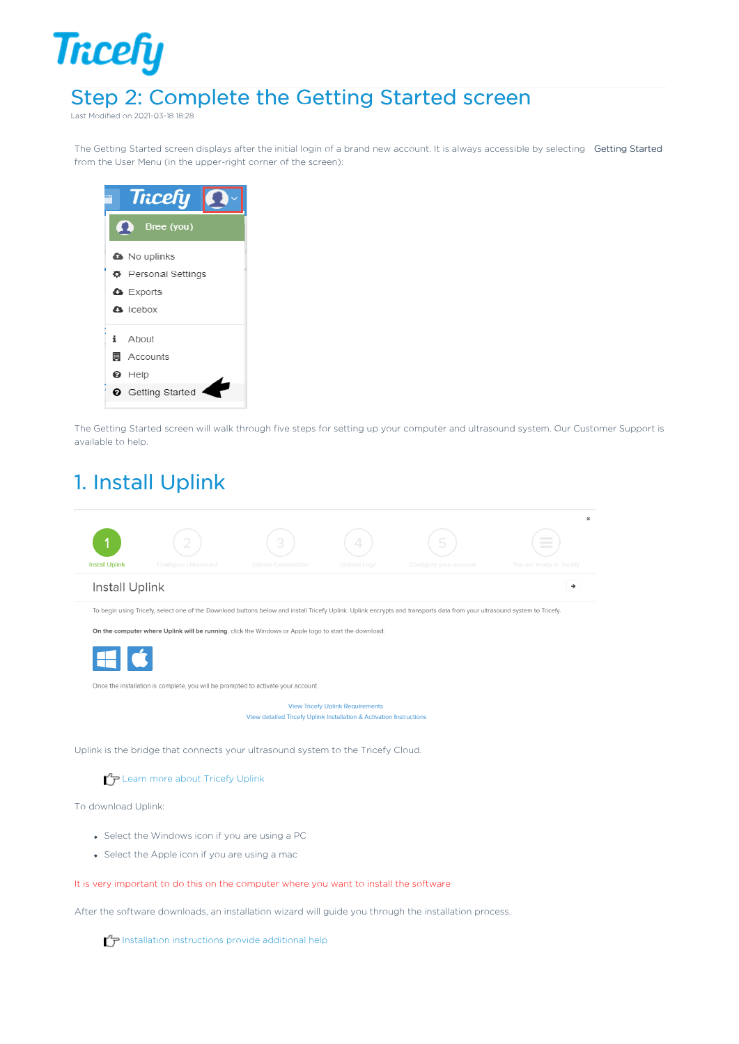## Step 2: Complete the Getting Started screen

Last Modified on 2021-03-18 18:28

**Tricefy** 

The Getting Started screen displays after the initial login of a brand new account. It is always accessible by selecting Getting Started from the User Menu (in the upper-right corner of the screen):



The Getting Started screen will walk through five steps for setting up your computer and ultrasound system. Our Customer Support is available to help.

#### 1. Install Uplink



To download Uplink:

- Select the Windows icon if you are using a PC
- Select the Apple icon if you are using a mac

#### It is very important to do this on the computer where you want to install the software

After the software downloads, an installation wizard will guide you through the installation process.

Installation instructions provide additional help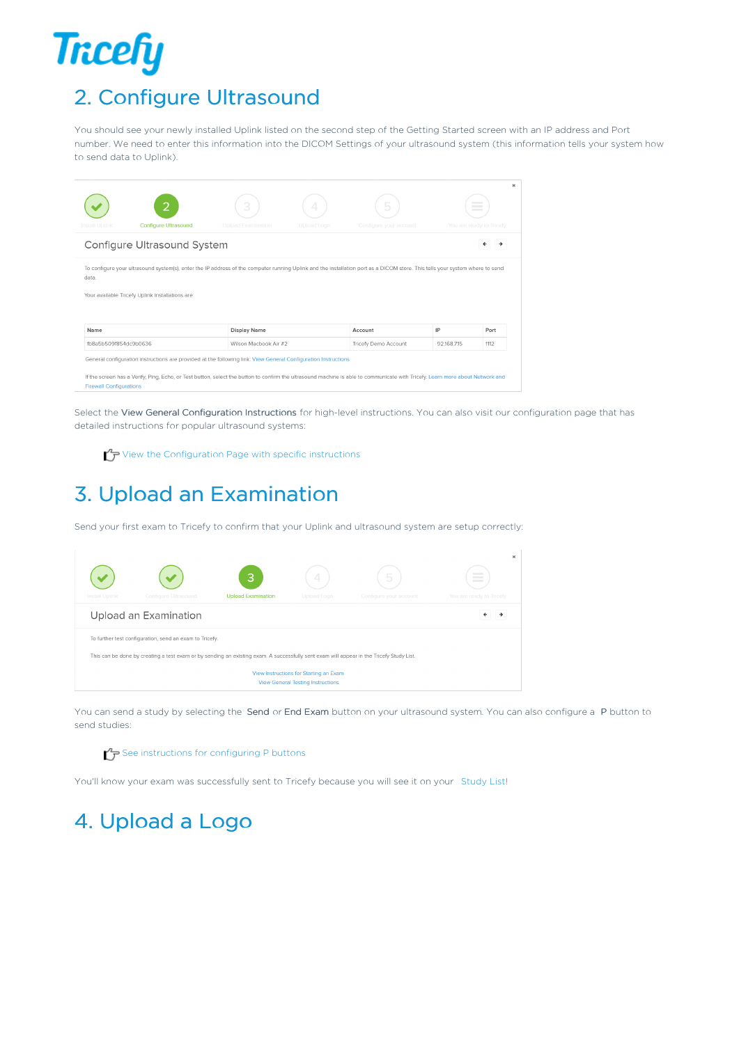# **Tricefy** 2. Configure Ultrasound

You should see your newly installed Uplink listed on the second step of the Getting Started screen with an IP address and Port number. We need to enter this information into the DICOM Settings of your ultrasound system (this information tells your system how to send data to Uplink).

| Install Uplink              | ำ<br><b>Configure Ultrasound</b>                                                                                                                                             | 3<br><b>Upload Examination</b> | 4<br>Upload Logo | 5<br>Configure your account |            | $\sim$<br>$\frac{1}{2} \left( \frac{1}{2} \right) \left( \frac{1}{2} \right) \left( \frac{1}{2} \right) \left( \frac{1}{2} \right) \left( \frac{1}{2} \right) \left( \frac{1}{2} \right) \left( \frac{1}{2} \right) \left( \frac{1}{2} \right) \left( \frac{1}{2} \right) \left( \frac{1}{2} \right) \left( \frac{1}{2} \right) \left( \frac{1}{2} \right) \left( \frac{1}{2} \right) \left( \frac{1}{2} \right) \left( \frac{1}{2} \right) \left( \frac{1}{2} \right) \left( \frac$<br>You are ready to Tricefy |  |  |
|-----------------------------|------------------------------------------------------------------------------------------------------------------------------------------------------------------------------|--------------------------------|------------------|-----------------------------|------------|------------------------------------------------------------------------------------------------------------------------------------------------------------------------------------------------------------------------------------------------------------------------------------------------------------------------------------------------------------------------------------------------------------------------------------------------------------------------------------------------------------------|--|--|
| Configure Ultrasound System |                                                                                                                                                                              |                                |                  |                             |            |                                                                                                                                                                                                                                                                                                                                                                                                                                                                                                                  |  |  |
| data                        | To configure your ultrasound system(s), enter the IP address of the computer running Uplink and the installation port as a DICOM store. This tells your system where to send |                                |                  |                             |            |                                                                                                                                                                                                                                                                                                                                                                                                                                                                                                                  |  |  |
|                             | Your available Tricefy Uplink Installations are:                                                                                                                             |                                |                  |                             |            |                                                                                                                                                                                                                                                                                                                                                                                                                                                                                                                  |  |  |
| Name                        |                                                                                                                                                                              | Display Name                   |                  | Account                     | IP         | Port                                                                                                                                                                                                                                                                                                                                                                                                                                                                                                             |  |  |
| fb8a5b509f854dc9b0636       |                                                                                                                                                                              | Wilson Macbook Air #2          |                  | Tricefy Demo Account        | 92.168.715 | 1112                                                                                                                                                                                                                                                                                                                                                                                                                                                                                                             |  |  |

Select the View General Configuration Instructions for high-level instructions. You can also visit our configuration page that has detailed instructions for popular ultrasound systems:

 $\bigcap$  View the Configuration Page with specific instructions

## 3. Upload an Examination

Send your first exam to Tricefy to confirm that your Uplink and ultrasound system are setup correctly:



You can send a study by selecting the Send or End Exam button on your ultrasound system. You can also configure a P button to send studies:

#### $\mathcal{F}_{\mathcal{F}}$  See instructions for configuring P buttons

You'll know your exam was successfully sent to Tricefy because you will see it on your Study List!

## 4. Upload a Logo